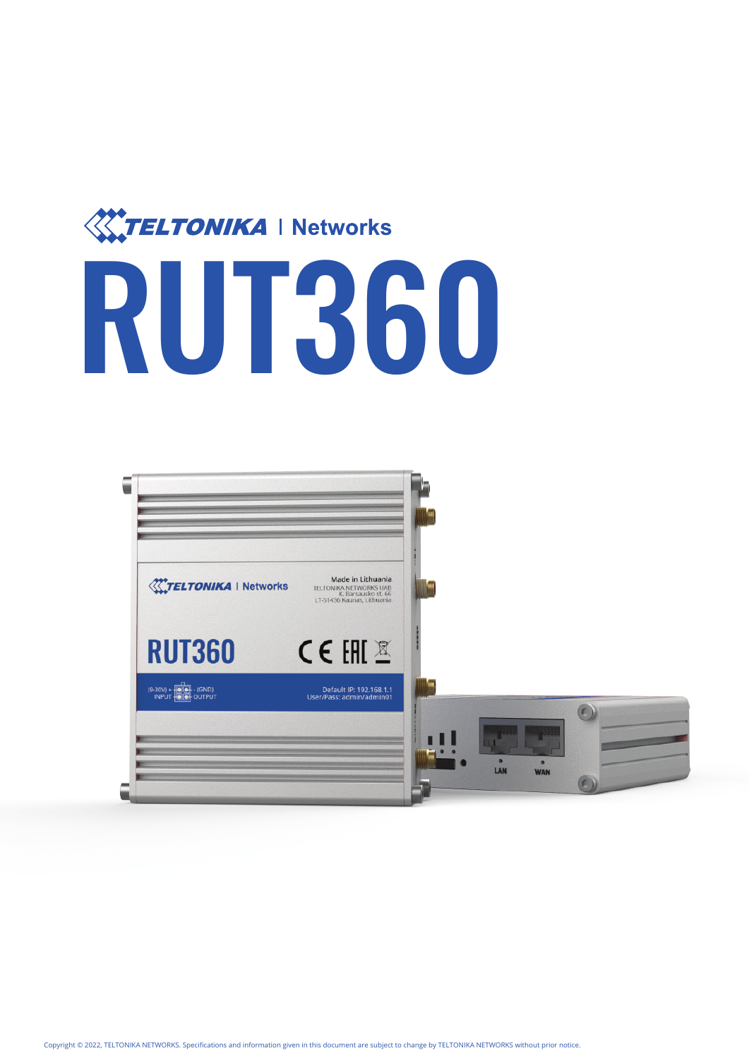

# RUT360

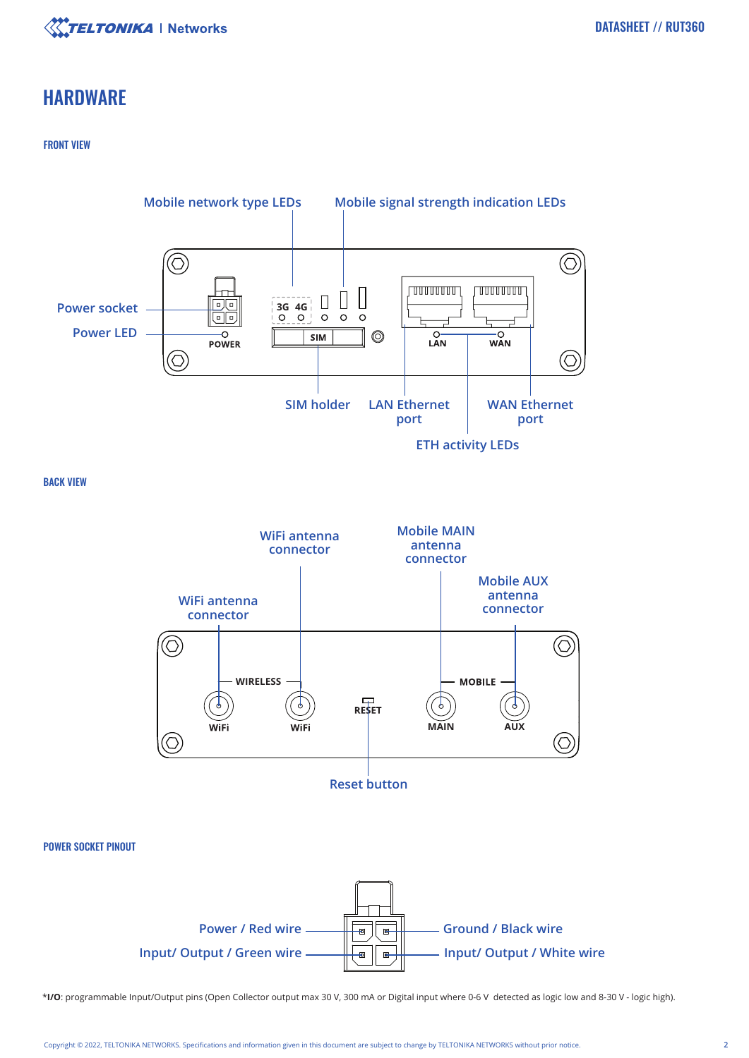

# **HARDWARE**

### FRONT VIEW





\***I/O**: programmable Input/Output pins (Open Collector output max 30 V, 300 mA or Digital input where 0-6 V detected as logic low and 8-30 V - logic high).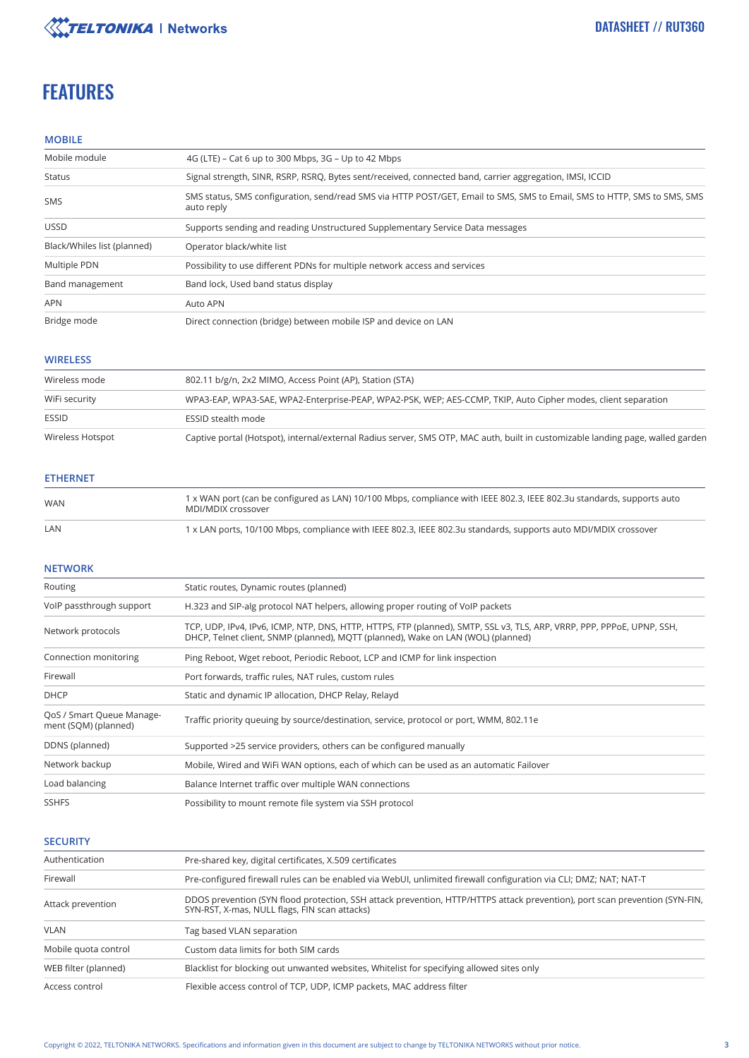

# **FEATURES**

### **MOBILE**

| Mobile module               | 4G (LTE) – Cat 6 up to 300 Mbps, 3G – Up to 42 Mbps                                                                                    |
|-----------------------------|----------------------------------------------------------------------------------------------------------------------------------------|
| Status                      | Signal strength, SINR, RSRP, RSRQ, Bytes sent/received, connected band, carrier aggregation, IMSI, ICCID                               |
| <b>SMS</b>                  | SMS status, SMS configuration, send/read SMS via HTTP POST/GET, Email to SMS, SMS to Email, SMS to HTTP, SMS to SMS, SMS<br>auto reply |
| <b>USSD</b>                 | Supports sending and reading Unstructured Supplementary Service Data messages                                                          |
| Black/Whiles list (planned) | Operator black/white list                                                                                                              |
| Multiple PDN                | Possibility to use different PDNs for multiple network access and services                                                             |
| Band management             | Band lock, Used band status display                                                                                                    |
| <b>APN</b>                  | Auto APN                                                                                                                               |
| Bridge mode                 | Direct connection (bridge) between mobile ISP and device on LAN                                                                        |

### **WIRELESS**

| Wireless mode    | 802.11 b/g/n, 2x2 MIMO, Access Point (AP), Station (STA)                                                                        |
|------------------|---------------------------------------------------------------------------------------------------------------------------------|
| WiFi security    | WPA3-EAP, WPA3-SAE, WPA2-Enterprise-PEAP, WPA2-PSK, WEP; AES-CCMP, TKIP, Auto Cipher modes, client separation                   |
| <b>ESSID</b>     | <b>ESSID stealth mode</b>                                                                                                       |
| Wireless Hotspot | Captive portal (Hotspot), internal/external Radius server, SMS OTP, MAC auth, built in customizable landing page, walled garden |

### **ETHERNET**

| WAN | 1 x WAN port (can be configured as LAN) 10/100 Mbps, compliance with IEEE 802.3, IEEE 802.3u standards, supports auto<br>MDI/MDIX crossover |
|-----|---------------------------------------------------------------------------------------------------------------------------------------------|
| LAN | 1 x LAN ports, 10/100 Mbps, compliance with IEEE 802.3, IEEE 802.3u standards, supports auto MDI/MDIX crossover                             |

### **NETWORK**

| Routing                                           | Static routes, Dynamic routes (planned)                                                                                                                                                                    |
|---------------------------------------------------|------------------------------------------------------------------------------------------------------------------------------------------------------------------------------------------------------------|
| VoIP passthrough support                          | H.323 and SIP-alg protocol NAT helpers, allowing proper routing of VoIP packets                                                                                                                            |
| Network protocols                                 | TCP, UDP, IPv4, IPv6, ICMP, NTP, DNS, HTTP, HTTPS, FTP (planned), SMTP, SSL v3, TLS, ARP, VRRP, PPP, PPPoE, UPNP, SSH,<br>DHCP, Telnet client, SNMP (planned), MOTT (planned), Wake on LAN (WOL) (planned) |
| Connection monitoring                             | Ping Reboot, Wget reboot, Periodic Reboot, LCP and ICMP for link inspection                                                                                                                                |
| Firewall                                          | Port forwards, traffic rules, NAT rules, custom rules                                                                                                                                                      |
| <b>DHCP</b>                                       | Static and dynamic IP allocation, DHCP Relay, Relayd                                                                                                                                                       |
| QoS / Smart Queue Manage-<br>ment (SQM) (planned) | Traffic priority queuing by source/destination, service, protocol or port, WMM, 802.11e                                                                                                                    |
| DDNS (planned)                                    | Supported >25 service providers, others can be configured manually                                                                                                                                         |
| Network backup                                    | Mobile, Wired and WiFi WAN options, each of which can be used as an automatic Failover                                                                                                                     |
| Load balancing                                    | Balance Internet traffic over multiple WAN connections                                                                                                                                                     |
| <b>SSHFS</b>                                      | Possibility to mount remote file system via SSH protocol                                                                                                                                                   |

### **SECURITY**

| Authentication       | Pre-shared key, digital certificates, X.509 certificates                                                                                                                     |
|----------------------|------------------------------------------------------------------------------------------------------------------------------------------------------------------------------|
| Firewall             | Pre-configured firewall rules can be enabled via WebUI, unlimited firewall configuration via CLI; DMZ; NAT-T                                                                 |
| Attack prevention    | DDOS prevention (SYN flood protection, SSH attack prevention, HTTP/HTTPS attack prevention), port scan prevention (SYN-FIN,<br>SYN-RST, X-mas, NULL flags, FIN scan attacks) |
| <b>VLAN</b>          | Tag based VLAN separation                                                                                                                                                    |
| Mobile quota control | Custom data limits for both SIM cards                                                                                                                                        |
| WEB filter (planned) | Blacklist for blocking out unwanted websites, Whitelist for specifying allowed sites only                                                                                    |
| Access control       | Flexible access control of TCP, UDP, ICMP packets, MAC address filter                                                                                                        |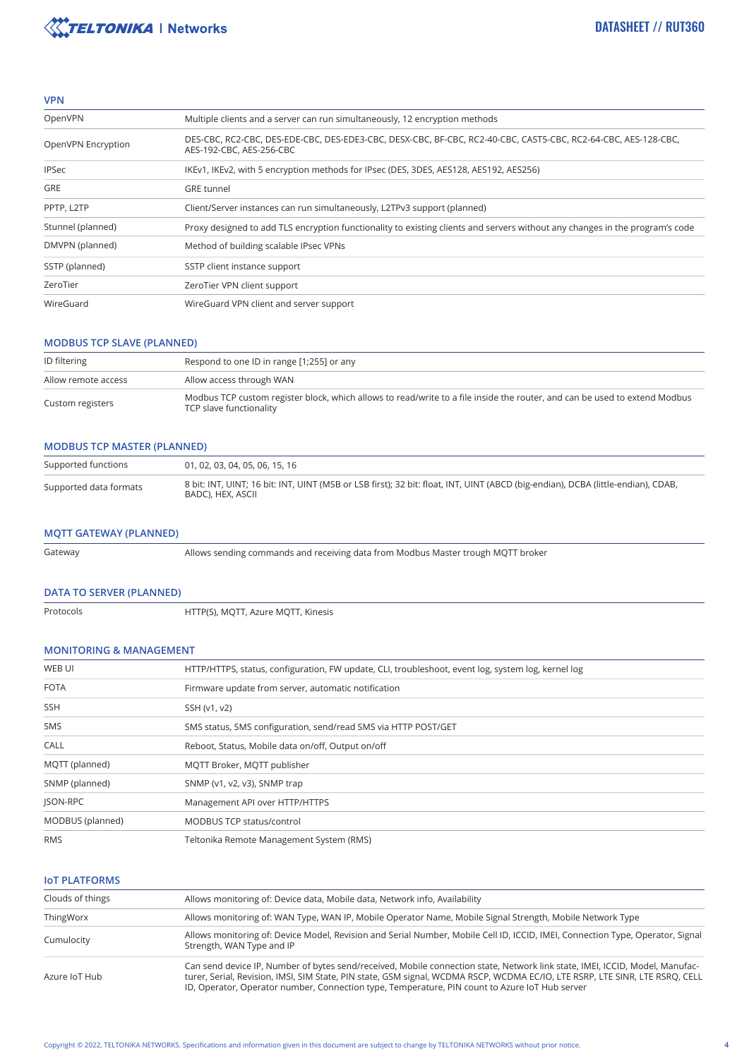

### **VPN**

| OpenVPN            | Multiple clients and a server can run simultaneously, 12 encryption methods                                                                |
|--------------------|--------------------------------------------------------------------------------------------------------------------------------------------|
| OpenVPN Encryption | DES-CBC, RC2-CBC, DES-EDE-CBC, DES-EDE3-CBC, DESX-CBC, BF-CBC, RC2-40-CBC, CAST5-CBC, RC2-64-CBC, AES-128-CBC,<br>AES-192-CBC, AES-256-CBC |
| <b>IPSec</b>       | IKEv1, IKEv2, with 5 encryption methods for IPsec (DES, 3DES, AES128, AES192, AES256)                                                      |
| <b>GRE</b>         | <b>GRE</b> tunnel                                                                                                                          |
| PPTP, L2TP         | Client/Server instances can run simultaneously, L2TPv3 support (planned)                                                                   |
| Stunnel (planned)  | Proxy designed to add TLS encryption functionality to existing clients and servers without any changes in the program's code               |
| DMVPN (planned)    | Method of building scalable IPsec VPNs                                                                                                     |
| SSTP (planned)     | SSTP client instance support                                                                                                               |
| ZeroTier           | ZeroTier VPN client support                                                                                                                |
| WireGuard          | WireGuard VPN client and server support                                                                                                    |

### **MODBUS TCP SLAVE (PLANNED)**

| <b>ID</b> filtering | Respond to one ID in range [1;255] or any                                                                                                             |
|---------------------|-------------------------------------------------------------------------------------------------------------------------------------------------------|
| Allow remote access | Allow access through WAN                                                                                                                              |
| Custom registers    | Modbus TCP custom register block, which allows to read/write to a file inside the router, and can be used to extend Modbus<br>TCP slave functionality |

### **MODBUS TCP MASTER (PLANNED)**

| Supported functions    | 01, 02, 03, 04, 05, 06, 15, 16                                                                                                                        |
|------------------------|-------------------------------------------------------------------------------------------------------------------------------------------------------|
| Supported data formats | 8 bit: INT, UINT; 16 bit: INT, UINT (MSB or LSB first); 32 bit: float, INT, UINT (ABCD (big-endian), DCBA (little-endian), CDAB,<br>BADC), HEX, ASCII |

### **MQTT GATEWAY (PLANNED)**

Gateway

Allows sending commands and receiving data from Modbus Master trough MQTT broker

### **DATA TO SERVER (PLANNED)**

| Protocols |  |
|-----------|--|
|           |  |

HTTP(S), MQTT, Azure MQTT, Kinesis

### **MONITORING & MANAGEMENT**

| WEB UI           | HTTP/HTTPS, status, configuration, FW update, CLI, troubleshoot, event log, system log, kernel log |
|------------------|----------------------------------------------------------------------------------------------------|
| <b>FOTA</b>      | Firmware update from server, automatic notification                                                |
| <b>SSH</b>       | SSH (v1, v2)                                                                                       |
| <b>SMS</b>       | SMS status, SMS configuration, send/read SMS via HTTP POST/GET                                     |
| CALL             | Reboot, Status, Mobile data on/off, Output on/off                                                  |
| MQTT (planned)   | MOTT Broker, MOTT publisher                                                                        |
| SNMP (planned)   | SNMP (v1, v2, v3), SNMP trap                                                                       |
| JSON-RPC         | Management API over HTTP/HTTPS                                                                     |
| MODBUS (planned) | MODBUS TCP status/control                                                                          |
| <b>RMS</b>       | Teltonika Remote Management System (RMS)                                                           |
|                  |                                                                                                    |

### **IoT PLATFORMS**

| Clouds of things | Allows monitoring of: Device data, Mobile data, Network info, Availability                                                                                                                                                                                                                                                                                     |
|------------------|----------------------------------------------------------------------------------------------------------------------------------------------------------------------------------------------------------------------------------------------------------------------------------------------------------------------------------------------------------------|
| ThingWorx        | Allows monitoring of: WAN Type, WAN IP, Mobile Operator Name, Mobile Signal Strength, Mobile Network Type                                                                                                                                                                                                                                                      |
| Cumulocity       | Allows monitoring of: Device Model, Revision and Serial Number, Mobile Cell ID, ICCID, IMEI, Connection Type, Operator, Signal<br>Strength, WAN Type and IP                                                                                                                                                                                                    |
| Azure IoT Hub    | Can send device IP, Number of bytes send/received, Mobile connection state, Network link state, IMEI, ICCID, Model, Manufac-<br>turer, Serial, Revision, IMSI, SIM State, PIN state, GSM signal, WCDMA RSCP, WCDMA EC/IO, LTE RSRP, LTE SINR, LTE RSRO, CELL<br>ID, Operator, Operator number, Connection type, Temperature, PIN count to Azure IoT Hub server |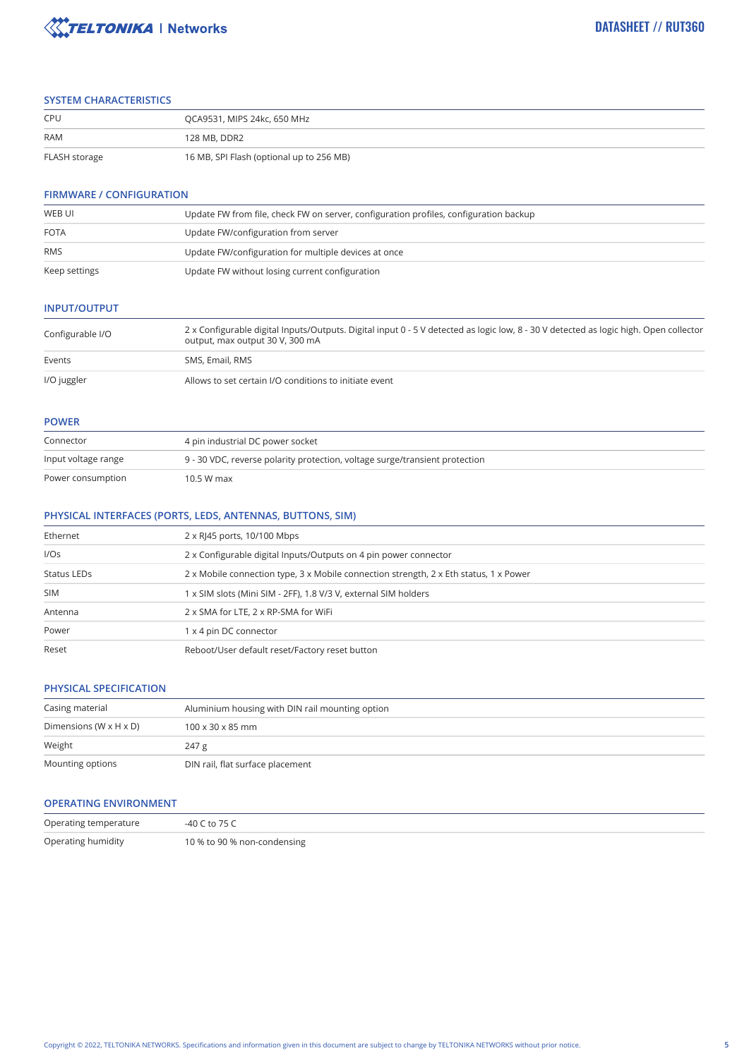

### **SYSTEM CHARACTERISTICS**

| CPU           | OCA9531, MIPS 24kc, 650 MHz              |
|---------------|------------------------------------------|
| <b>RAM</b>    | 128 MB, DDR2                             |
| FLASH storage | 16 MB, SPI Flash (optional up to 256 MB) |

### **FIRMWARE / CONFIGURATION**

| WEB UI        | Update FW from file, check FW on server, configuration profiles, configuration backup |
|---------------|---------------------------------------------------------------------------------------|
| <b>FOTA</b>   | Update FW/configuration from server                                                   |
| <b>RMS</b>    | Update FW/configuration for multiple devices at once                                  |
|               |                                                                                       |
| Keep settings | Update FW without losing current configuration                                        |

### **INPUT/OUTPUT**

| Configurable I/O | 2 x Configurable digital Inputs/Outputs. Digital input 0 - 5 V detected as logic low, 8 - 30 V detected as logic high. Open collector<br>output, max output 30 V, 300 mA |  |
|------------------|--------------------------------------------------------------------------------------------------------------------------------------------------------------------------|--|
| Events           | SMS, Email, RMS                                                                                                                                                          |  |
| I/O juggler      | Allows to set certain I/O conditions to initiate event                                                                                                                   |  |

### **POWER**

| Connector           | 4 pin industrial DC power socket                                            |  |
|---------------------|-----------------------------------------------------------------------------|--|
| Input voltage range | 9 - 30 VDC, reverse polarity protection, voltage surge/transient protection |  |
| Power consumption   | 10.5 W max                                                                  |  |

### **PHYSICAL INTERFACES (PORTS, LEDS, ANTENNAS, BUTTONS, SIM)**

| Ethernet    | 2 x RJ45 ports, 10/100 Mbps                                                           |
|-------------|---------------------------------------------------------------------------------------|
| I/OS        | 2 x Configurable digital Inputs/Outputs on 4 pin power connector                      |
| Status LEDs | 2 x Mobile connection type, 3 x Mobile connection strength, 2 x Eth status, 1 x Power |
| <b>SIM</b>  | 1 x SIM slots (Mini SIM - 2FF), 1.8 V/3 V, external SIM holders                       |
| Antenna     | 2 x SMA for LTE, 2 x RP-SMA for WiFi                                                  |
| Power       | 1 x 4 pin DC connector                                                                |
| Reset       | Reboot/User default reset/Factory reset button                                        |

### **PHYSICAL SPECIFICATION**

| Casing material                      | Aluminium housing with DIN rail mounting option |  |
|--------------------------------------|-------------------------------------------------|--|
| Dimensions (W $\times$ H $\times$ D) | $100 \times 30 \times 85$ mm                    |  |
| Weight                               | 247 g                                           |  |
| Mounting options                     | DIN rail, flat surface placement                |  |

### **OPERATING ENVIRONMENT**

| Operating temperature | $-40$ C to 75 C             |
|-----------------------|-----------------------------|
| Operating humidity    | 10 % to 90 % non-condensing |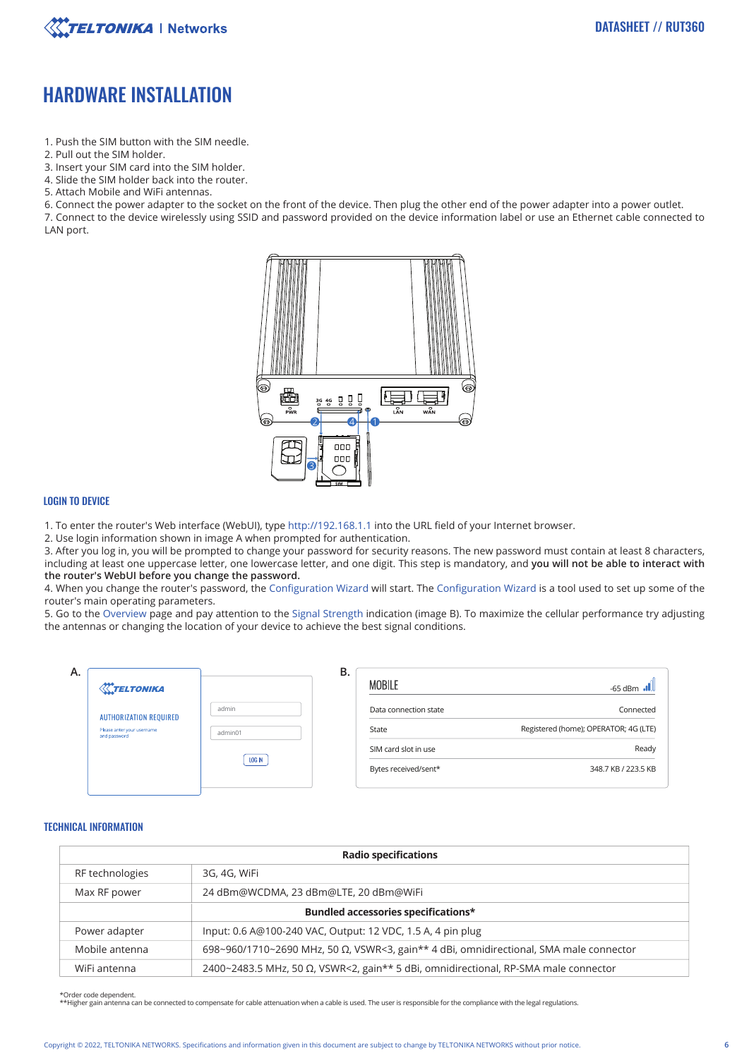

# HARDWARE INSTALLATION

- 1. Push the SIM button with the SIM needle.
- 2. Pull out the SIM holder.
- 3. Insert your SIM card into the SIM holder.
- 4. Slide the SIM holder back into the router.
- 5. Attach Mobile and WiFi antennas.

6. Connect the power adapter to the socket on the front of the device. Then plug the other end of the power adapter into a power outlet.

7. Connect to the device wirelessly using SSID and password provided on the device information label or use an Ethernet cable connected to LAN port.



### LOGIN TO DEVICE

1. To enter the router's Web interface (WebUI), type http://192.168.1.1 into the URL field of your Internet browser.

2. Use login information shown in image A when prompted for authentication.

3. After you log in, you will be prompted to change your password for security reasons. The new password must contain at least 8 characters, including at least one uppercase letter, one lowercase letter, and one digit. This step is mandatory, and **you will not be able to interact with the router's WebUI before you change the password.**

4. When you change the router's password, the Configuration Wizard will start. The Configuration Wizard is a tool used to set up some of the router's main operating parameters.

5. Go to the Overview page and pay attention to the Signal Strength indication (image B). To maximize the cellular performance try adjusting the antennas or changing the location of your device to achieve the best signal conditions.

| Α.<br><b><i><u>X</u>TELTONIKA</i></b>                                       |                   | В.<br><b>MOBILE</b>                          | $-65$ dBm $\bullet$                                |
|-----------------------------------------------------------------------------|-------------------|----------------------------------------------|----------------------------------------------------|
| <b>AUTHORIZATION REQUIRED</b><br>Please anter your username<br>and password | admin<br>admin01  | Data connection state<br>State               | Connected<br>Registered (home); OPERATOR; 4G (LTE) |
|                                                                             | LOG <sub>IN</sub> | SIM card slot in use<br>Bytes received/sent* | Ready<br>348.7 KB / 223.5 KB                       |

### TECHNICAL INFORMATION

| <b>Radio specifications</b>         |                                                                                                |  |
|-------------------------------------|------------------------------------------------------------------------------------------------|--|
| RF technologies                     | 3G, 4G, WiFi                                                                                   |  |
| Max RF power                        | 24 dBm@WCDMA, 23 dBm@LTE, 20 dBm@WiFi                                                          |  |
| Bundled accessories specifications* |                                                                                                |  |
| Power adapter                       | Input: 0.6 A@100-240 VAC, Output: 12 VDC, 1.5 A, 4 pin plug                                    |  |
| Mobile antenna                      | 698~960/1710~2690 MHz, 50 $\Omega$ , VSWR<3, gain** 4 dBi, omnidirectional, SMA male connector |  |
| WiFi antenna                        | 2400~2483.5 MHz, 50 Ω, VSWR<2, gain** 5 dBi, omnidirectional, RP-SMA male connector            |  |

\*Order code dependent.

\*\*Higher gain antenna can be connected to compensate for cable attenuation when a cable is used. The user is responsible for the compliance with the legal regulations.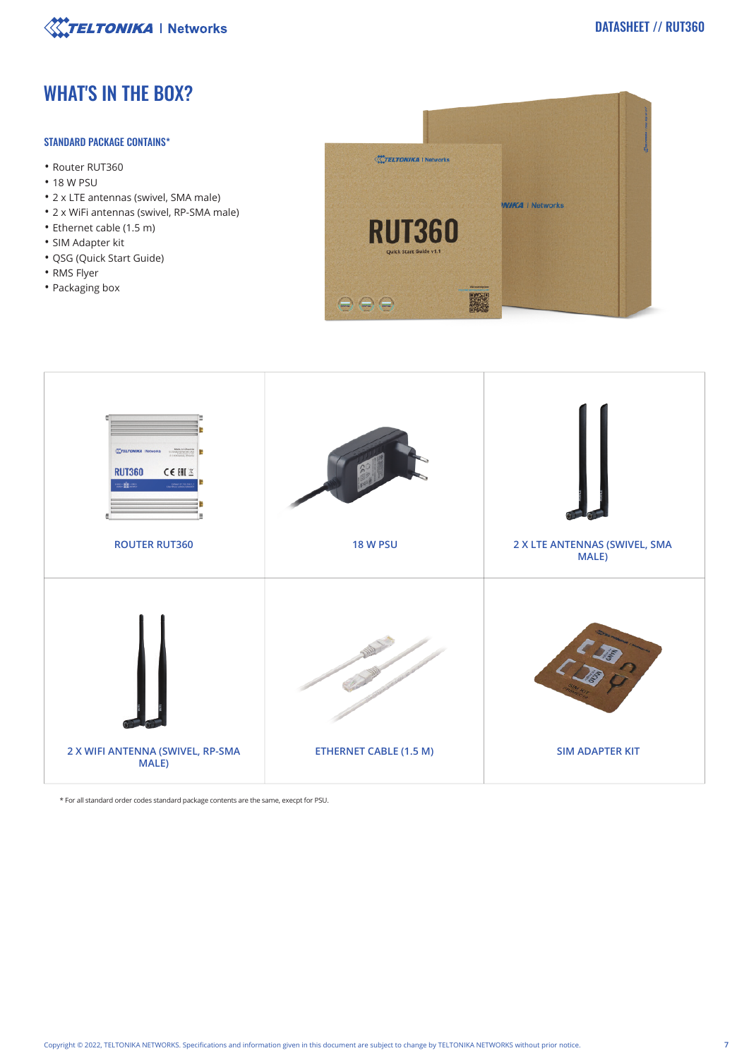

# WHAT'S IN THE BOX?

### STANDARD PACKAGE CONTAINS\*

- Router RUT360
- 18 W PSU
- 2 x LTE antennas (swivel, SMA male)
- 2 x WiFi antennas (swivel, RP-SMA male)
- Ethernet cable (1.5 m)
- SIM Adapter kit
- QSG (Quick Start Guide)
- RMS Flyer
- Packaging box





\* For all standard order codes standard package contents are the same, execpt for PSU.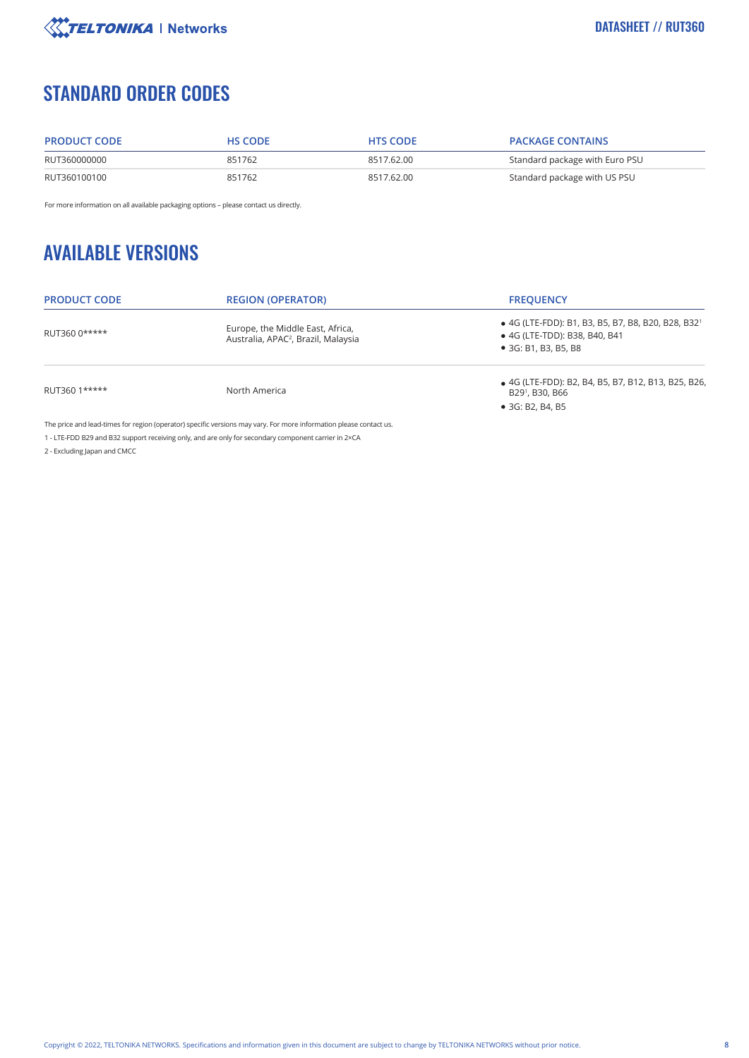

# STANDARD ORDER CODES

| <b>PRODUCT CODE</b> | <b>HS CODE</b> | <b>HTS CODE</b> | <b>PACKAGE CONTAINS</b>        |
|---------------------|----------------|-----------------|--------------------------------|
| RUT360000000        | 851762         | 8517.62.00      | Standard package with Euro PSU |
| RUT360100100        | 851762         | 8517.62.00      | Standard package with US PSU   |

For more information on all available packaging options – please contact us directly.

# AVAILABLE VERSIONS

| <b>PRODUCT CODE</b> | <b>REGION (OPERATOR)</b>                                                            | <b>FREQUENCY</b>                                                                                                        |
|---------------------|-------------------------------------------------------------------------------------|-------------------------------------------------------------------------------------------------------------------------|
| RUT360 0*****       | Europe, the Middle East, Africa,<br>Australia, APAC <sup>2</sup> , Brazil, Malaysia | • 4G (LTE-FDD): B1, B3, B5, B7, B8, B20, B28, B32 <sup>1</sup><br>• 4G (LTE-TDD): B38, B40, B41<br>• 3G: B1, B3, B5, B8 |
| RUT360 1*****       | North America                                                                       | • 4G (LTE-FDD): B2, B4, B5, B7, B12, B13, B25, B26,<br>B29 <sup>1</sup> , B30, B66                                      |
|                     |                                                                                     | $\bullet$ 3G: B2, B4, B5                                                                                                |

The price and lead-times for region (operator) specific versions may vary. For more information please contact us.

1 - LTE-FDD B29 and B32 support receiving only, and are only for secondary component carrier in 2×CA

2 - Excluding Japan and CMCC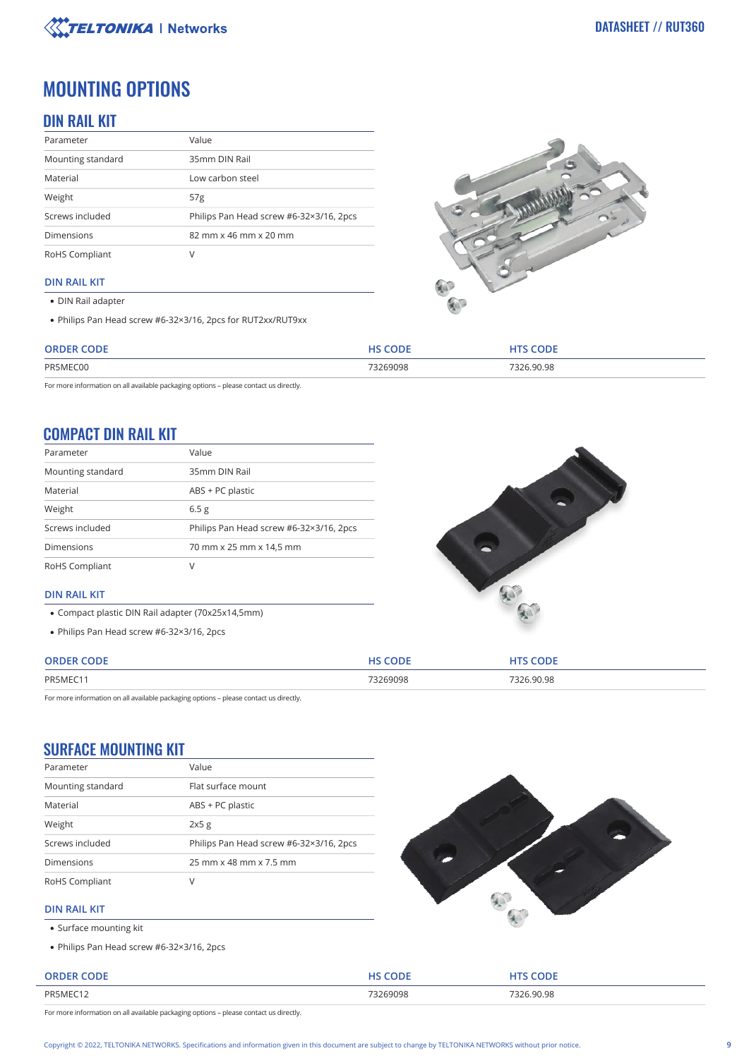

# MOUNTING OPTIONS

# DIN RAIL KIT

| Parameter         | Value                                   |
|-------------------|-----------------------------------------|
| Mounting standard | 35mm DIN Rail                           |
| Material          | Low carbon steel                        |
| Weight            | 57 <sub>g</sub>                         |
| Screws included   | Philips Pan Head screw #6-32×3/16, 2pcs |
| <b>Dimensions</b> | 82 mm x 46 mm x 20 mm                   |
| RoHS Compliant    | V                                       |

### **DIN RAIL KIT**

DIN Rail adapter

Philips Pan Head screw #6-32×3/16, 2pcs for RUT2xx/RUT9xx



| 73269098<br>7326.90.98<br>PR5MEC00 | <b>ORDER CODE</b> | <b>HS CODE</b> | <b>HTS CODE</b> |
|------------------------------------|-------------------|----------------|-----------------|
|                                    |                   |                |                 |

For more information on all available packaging options – please contact us directly.

# COMPACT DIN RAIL KIT

| Parameter         | Value                                   |
|-------------------|-----------------------------------------|
| Mounting standard | 35mm DIN Rail                           |
| Material          | ABS + PC plastic                        |
| Weight            | 6.5 <sub>g</sub>                        |
| Screws included   | Philips Pan Head screw #6-32×3/16, 2pcs |
| <b>Dimensions</b> | 70 mm x 25 mm x 14,5 mm                 |
| RoHS Compliant    | V                                       |



### **DIN RAIL KIT**

- Compact plastic DIN Rail adapter (70x25x14,5mm)
- Philips Pan Head screw #6-32×3/16, 2pcs

| <b>ODE</b><br><b>ORDER C</b> | <b>HS CODE</b> | coner      |
|------------------------------|----------------|------------|
| PR5MEC1                      | 73269098       | 7326.90.98 |

For more information on all available packaging options – please contact us directly.

## SURFACE MOUNTING KIT

| Parameter         | Value                                   |
|-------------------|-----------------------------------------|
| Mounting standard | Flat surface mount                      |
| Material          | ABS + PC plastic                        |
| Weight            | 2x5g                                    |
| Screws included   | Philips Pan Head screw #6-32×3/16, 2pcs |
| <b>Dimensions</b> | 25 mm x 48 mm x 7.5 mm                  |
| RoHS Compliant    | V                                       |



### **DIN RAIL KIT**

- Surface mounting kit
- Philips Pan Head screw #6-32×3/16, 2pcs

| <b>ORDER CODE</b> |               | <b>CODE</b>          |
|-------------------|---------------|----------------------|
| PR5MEC12          | 73269098<br>. | $Q0$ $Q2$<br>∍⊂<br>. |

For more information on all available packaging options – please contact us directly.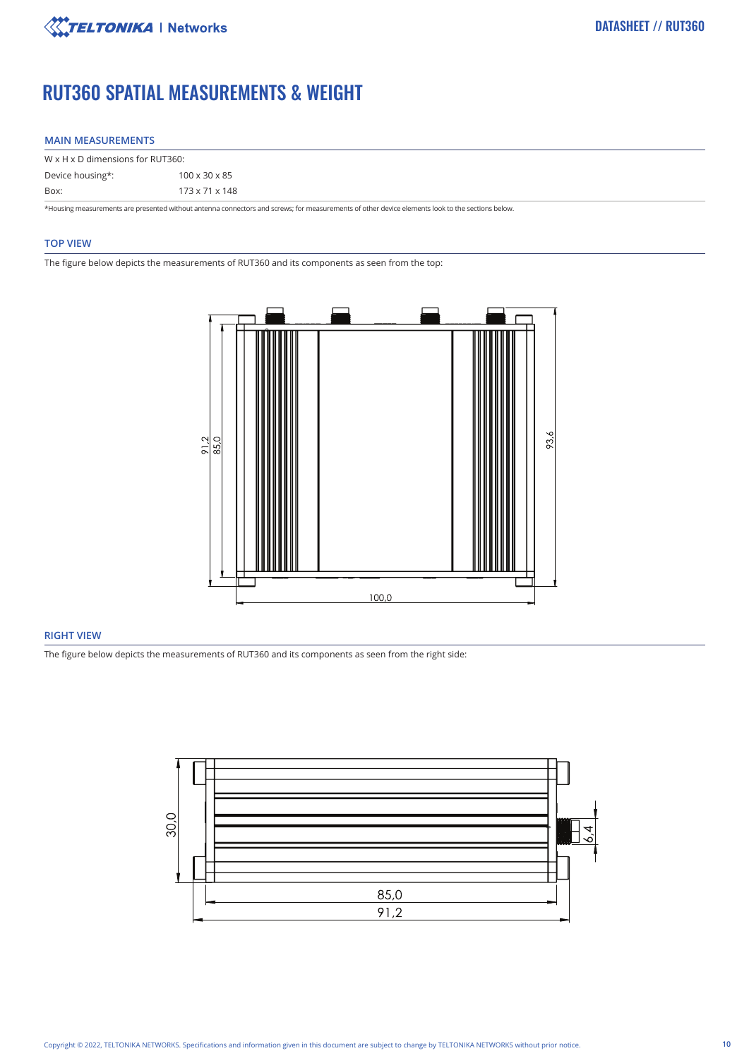

# RUT360 SPATIAL MEASUREMENTS & WEIGHT

### **MAIN MEASUREMENTS**

| $W \times H \times D$ dimensions for RUT360: |                           |  |  |
|----------------------------------------------|---------------------------|--|--|
| Device housing*:                             | $100 \times 30 \times 85$ |  |  |
| Box:                                         | 173 x 71 x 148            |  |  |

\*Housing measurements are presented without antenna connectors and screws; for measurements of other device elements look to the sections below.

### **TOP VIEW**

The figure below depicts the measurements of RUT360 and its components as seen from the top:



### **RIGHT VIEW**

The figure below depicts the measurements of RUT360 and its components as seen from the right side:

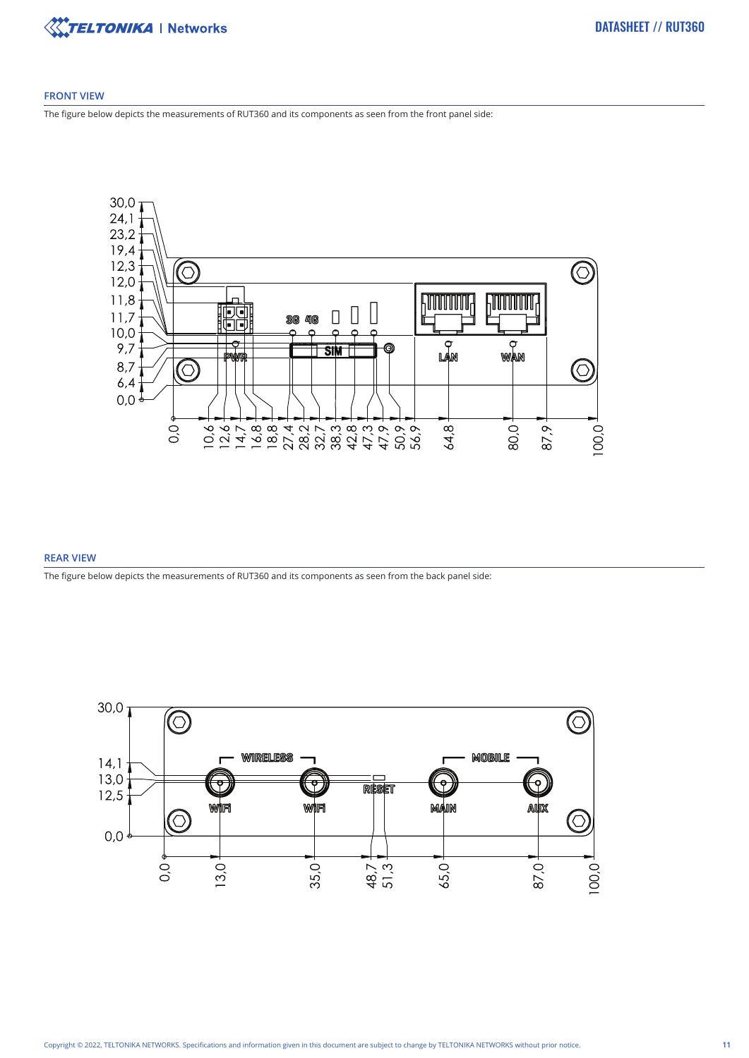

### **FRONT VIEW**

The figure below depicts the measurements of RUT360 and its components as seen from the front panel side:



### **REAR VIEW**

The figure below depicts the measurements of RUT360 and its components as seen from the back panel side:

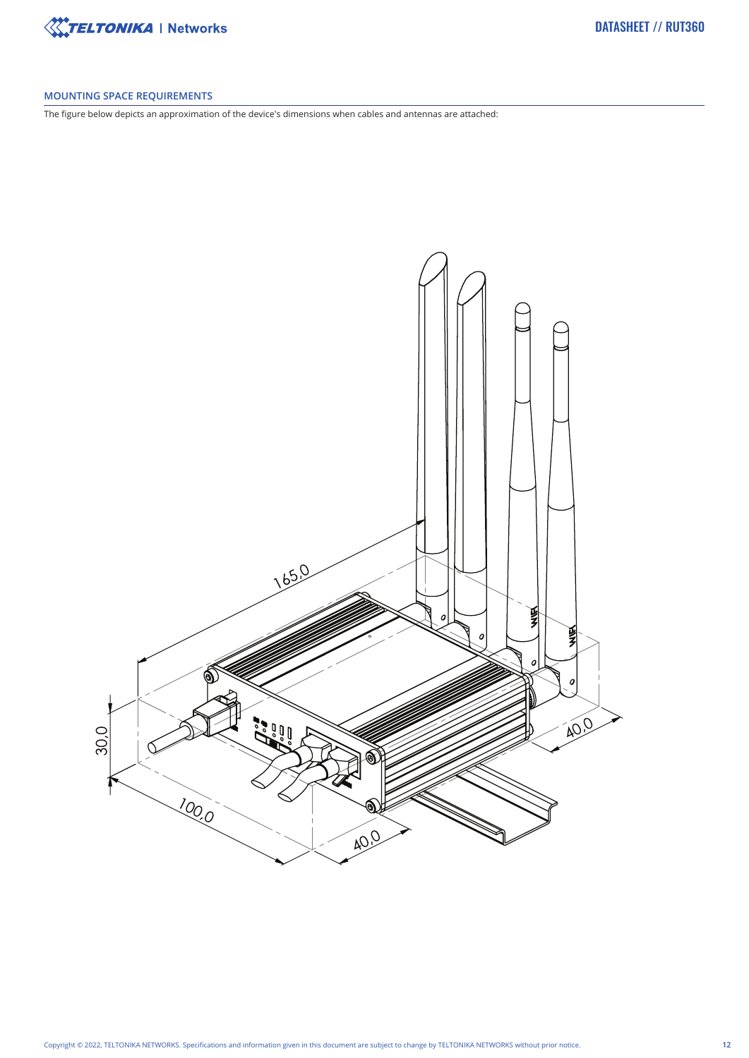

### **MOUNTING SPACE REQUIREMENTS**

The figure below depicts an approximation of the device's dimensions when cables and antennas are attached: